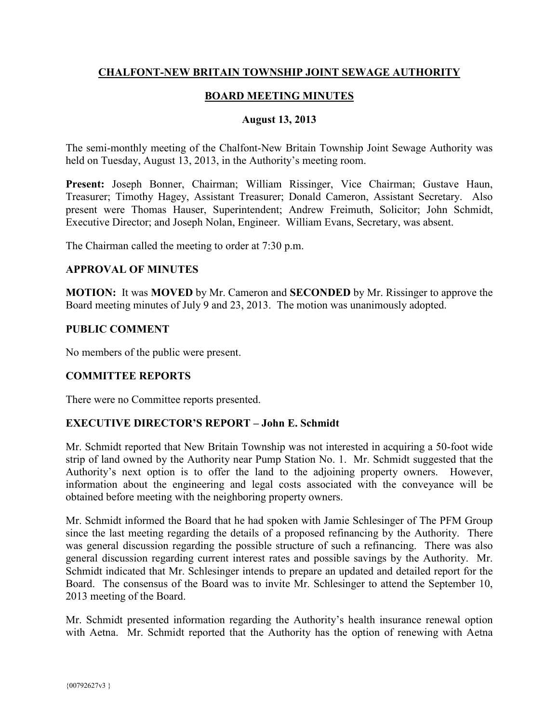### **CHALFONT-NEW BRITAIN TOWNSHIP JOINT SEWAGE AUTHORITY**

### **BOARD MEETING MINUTES**

#### **August 13, 2013**

The semi-monthly meeting of the Chalfont-New Britain Township Joint Sewage Authority was held on Tuesday, August 13, 2013, in the Authority's meeting room.

**Present:** Joseph Bonner, Chairman; William Rissinger, Vice Chairman; Gustave Haun, Treasurer; Timothy Hagey, Assistant Treasurer; Donald Cameron, Assistant Secretary. Also present were Thomas Hauser, Superintendent; Andrew Freimuth, Solicitor; John Schmidt, Executive Director; and Joseph Nolan, Engineer. William Evans, Secretary, was absent.

The Chairman called the meeting to order at 7:30 p.m.

#### **APPROVAL OF MINUTES**

**MOTION:** It was **MOVED** by Mr. Cameron and **SECONDED** by Mr. Rissinger to approve the Board meeting minutes of July 9 and 23, 2013. The motion was unanimously adopted.

#### **PUBLIC COMMENT**

No members of the public were present.

### **COMMITTEE REPORTS**

There were no Committee reports presented.

### **EXECUTIVE DIRECTOR'S REPORT – John E. Schmidt**

Mr. Schmidt reported that New Britain Township was not interested in acquiring a 50-foot wide strip of land owned by the Authority near Pump Station No. 1. Mr. Schmidt suggested that the Authority's next option is to offer the land to the adjoining property owners. However, information about the engineering and legal costs associated with the conveyance will be obtained before meeting with the neighboring property owners.

Mr. Schmidt informed the Board that he had spoken with Jamie Schlesinger of The PFM Group since the last meeting regarding the details of a proposed refinancing by the Authority. There was general discussion regarding the possible structure of such a refinancing. There was also general discussion regarding current interest rates and possible savings by the Authority. Mr. Schmidt indicated that Mr. Schlesinger intends to prepare an updated and detailed report for the Board. The consensus of the Board was to invite Mr. Schlesinger to attend the September 10, 2013 meeting of the Board.

Mr. Schmidt presented information regarding the Authority's health insurance renewal option with Aetna. Mr. Schmidt reported that the Authority has the option of renewing with Aetna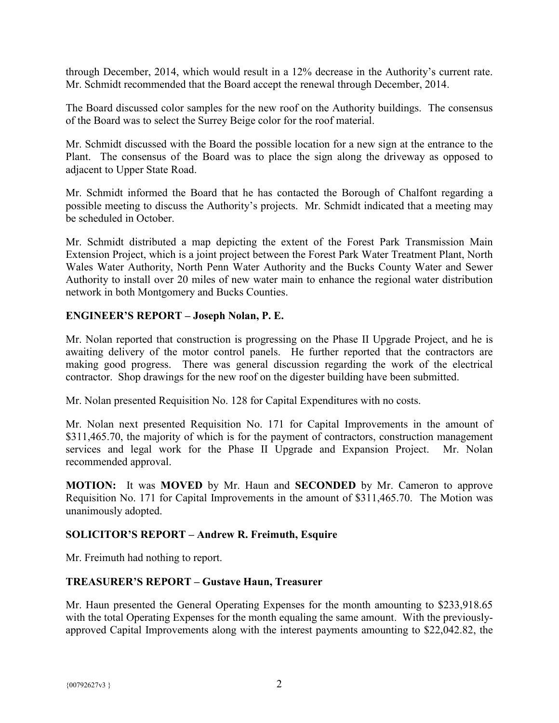through December, 2014, which would result in a 12% decrease in the Authority's current rate. Mr. Schmidt recommended that the Board accept the renewal through December, 2014.

The Board discussed color samples for the new roof on the Authority buildings. The consensus of the Board was to select the Surrey Beige color for the roof material.

Mr. Schmidt discussed with the Board the possible location for a new sign at the entrance to the Plant. The consensus of the Board was to place the sign along the driveway as opposed to adjacent to Upper State Road.

Mr. Schmidt informed the Board that he has contacted the Borough of Chalfont regarding a possible meeting to discuss the Authority's projects. Mr. Schmidt indicated that a meeting may be scheduled in October.

Mr. Schmidt distributed a map depicting the extent of the Forest Park Transmission Main Extension Project, which is a joint project between the Forest Park Water Treatment Plant, North Wales Water Authority, North Penn Water Authority and the Bucks County Water and Sewer Authority to install over 20 miles of new water main to enhance the regional water distribution network in both Montgomery and Bucks Counties.

## **ENGINEER'S REPORT – Joseph Nolan, P. E.**

Mr. Nolan reported that construction is progressing on the Phase II Upgrade Project, and he is awaiting delivery of the motor control panels. He further reported that the contractors are making good progress. There was general discussion regarding the work of the electrical contractor. Shop drawings for the new roof on the digester building have been submitted.

Mr. Nolan presented Requisition No. 128 for Capital Expenditures with no costs.

Mr. Nolan next presented Requisition No. 171 for Capital Improvements in the amount of \$311,465.70, the majority of which is for the payment of contractors, construction management services and legal work for the Phase II Upgrade and Expansion Project. Mr. Nolan recommended approval.

**MOTION:** It was **MOVED** by Mr. Haun and **SECONDED** by Mr. Cameron to approve Requisition No. 171 for Capital Improvements in the amount of \$311,465.70. The Motion was unanimously adopted.

## **SOLICITOR'S REPORT – Andrew R. Freimuth, Esquire**

Mr. Freimuth had nothing to report.

### **TREASURER'S REPORT – Gustave Haun, Treasurer**

Mr. Haun presented the General Operating Expenses for the month amounting to \$233,918.65 with the total Operating Expenses for the month equaling the same amount. With the previouslyapproved Capital Improvements along with the interest payments amounting to \$22,042.82, the